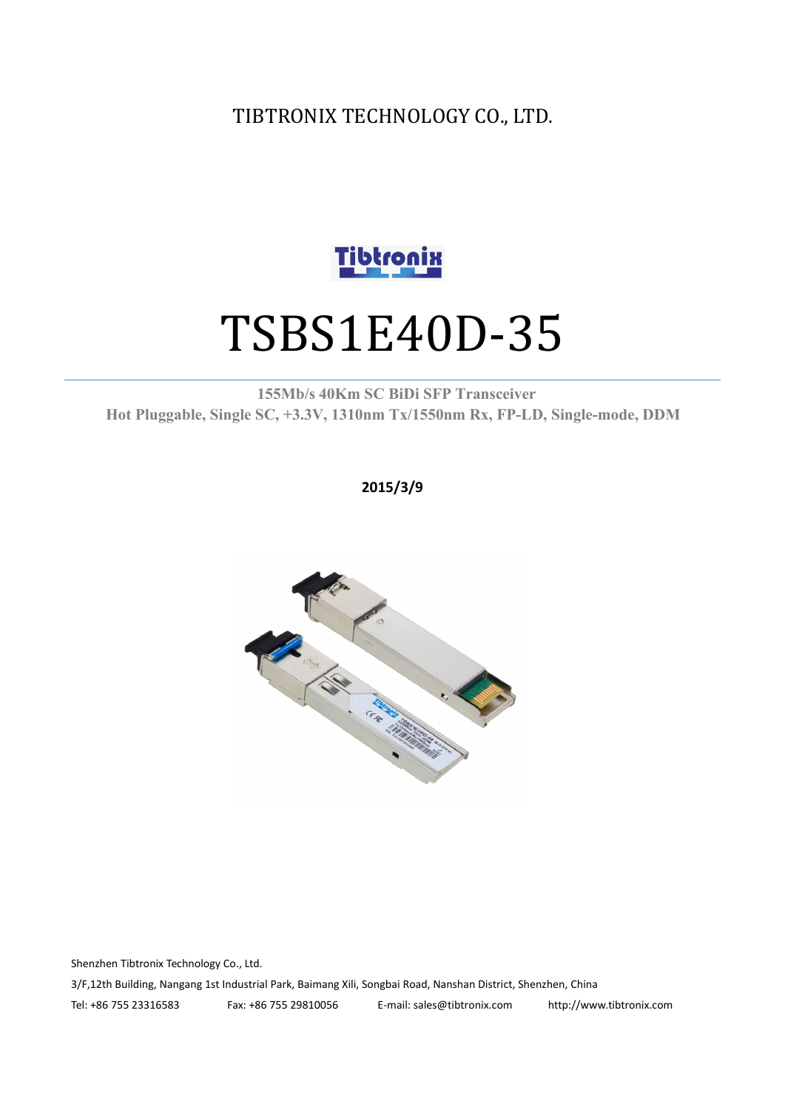TIBTRONIX TECHNOLOGY CO., LTD.



# TSBS1E40D-35

**155Mb/s 40Km SC BiDi SFP Transceiver Hot Pluggable, Single SC, +3.3V, 1310nm Tx/1550nm Rx, FP-LD, Single-mode, DDM**

**2015/3/9**



Shenzhen Tibtronix Technology Co., Ltd. 3/F,12th Building, Nangang 1st Industrial Park, Baimang Xili, Songbai Road, Nanshan District, Shenzhen, China Tel: +86 755 23316583 Fax: +86 755 29810056 E-mail: sales@tibtronix.com http://www.tibtronix.com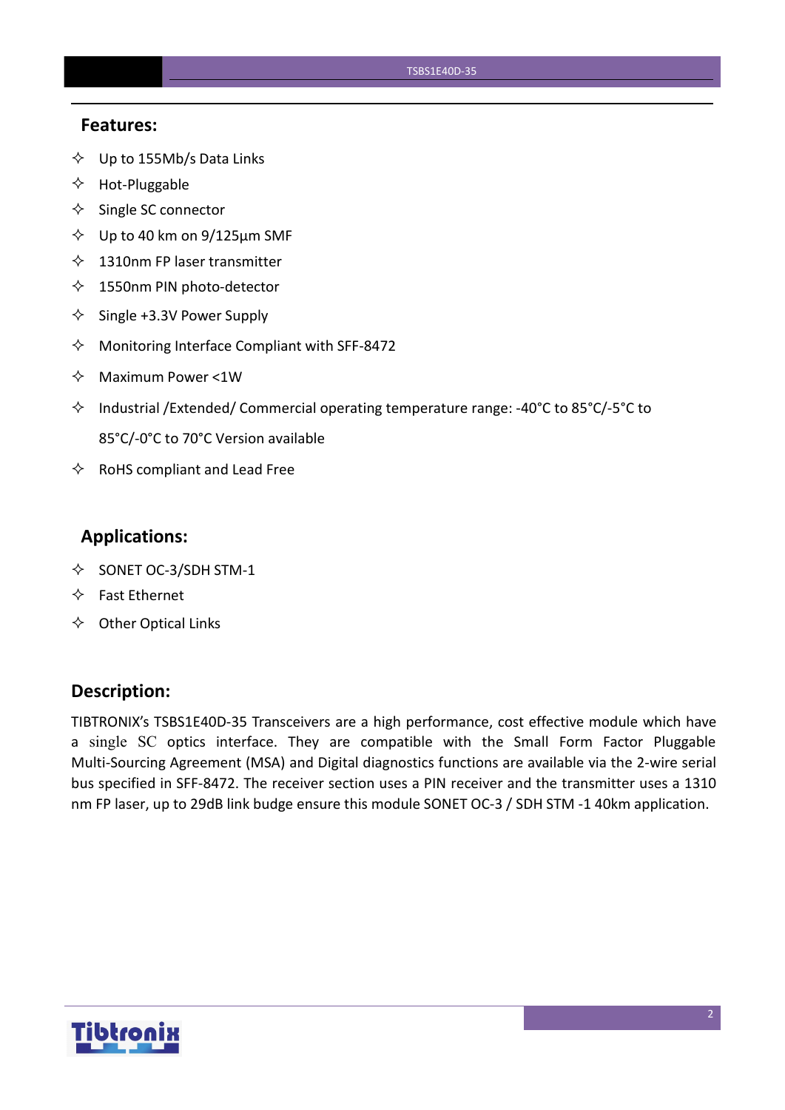#### **Features:**

- $\diamondsuit$  Up to 155Mb/s Data Links
- $\Leftrightarrow$  Hot-Pluggable
- $\Leftrightarrow$  Single SC connector
- $\diamond$  Up to 40 km on 9/125 µm SMF
- $\lozenge$  1310nm FP laser transmitter
- $\diamondsuit$  1550nm PIN photo-detector
- $\diamond$  Single +3.3V Power Supply
- $\Diamond$  Monitoring Interface Compliant with SFF-8472
- $\Diamond$  Maximum Power <1W
- $\Diamond$  Industrial /Extended/ Commercial operating temperature range: -40°C to 85°C/-5°C to 85°C/-0°C to 70°C Version available
- $\Leftrightarrow$  RoHS compliant and Lead Free

#### **Applications:**

- $\diamond$  SONET OC-3/SDH STM-1
- $\Leftrightarrow$  Fast Ethernet
- $\Leftrightarrow$  Other Optical Links

#### **Description:**

TIBTRONIX's TSBS1E40D-35 Transceivers are a high performance, cost effective module which have a single SC optics interface. They are compatible with the Small Form Factor Pluggable Multi-Sourcing Agreement (MSA) and Digital diagnostics functions are available via the 2-wire serial bus specified in SFF-8472. The receiver section uses a PIN receiver and the transmitter uses a 1310 nm FP laser, up to 29dB link budge ensure this module SONET OC-3 / SDH STM -1 40km application.

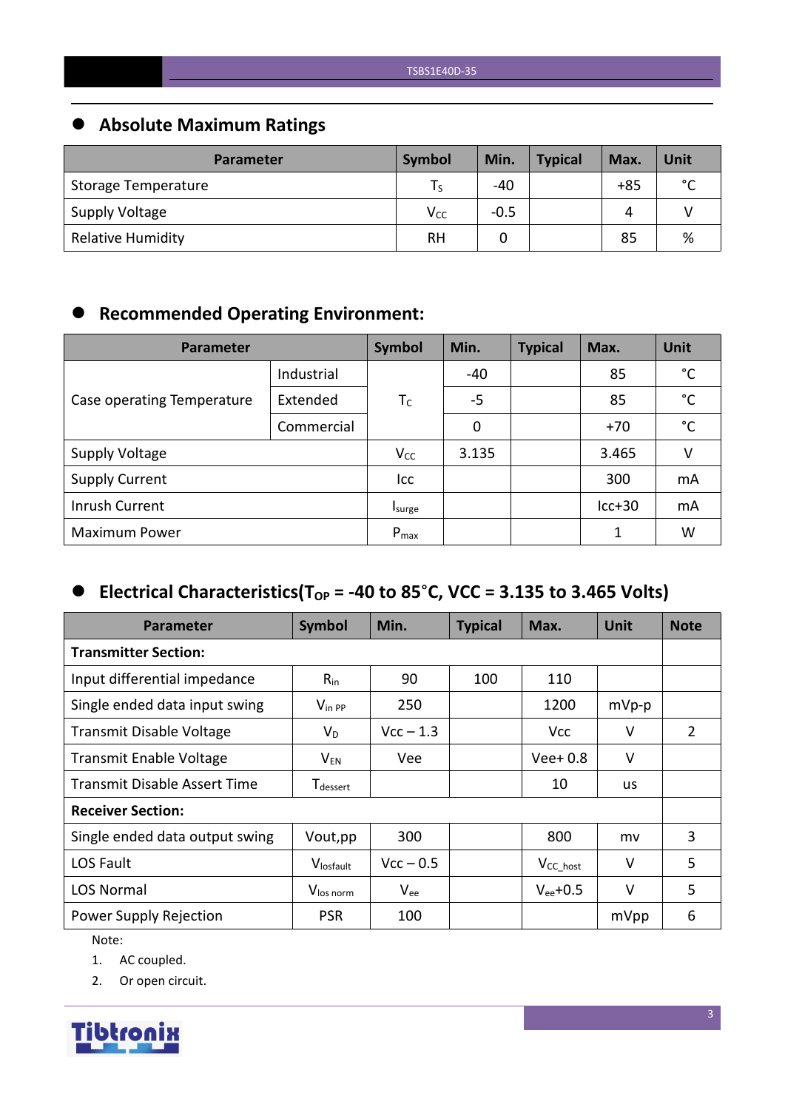# **Absolute Maximum Ratings**

| <b>Parameter</b>         | Symbol          | Min.   | <b>Typical</b> | Max.  | Unit        |
|--------------------------|-----------------|--------|----------------|-------|-------------|
| Storage Temperature      |                 | $-40$  |                | $+85$ | $\sim$<br>֊ |
| Supply Voltage           | V <sub>cc</sub> | $-0.5$ |                | 4     |             |
| <b>Relative Humidity</b> | <b>RH</b>       |        |                | 85    | %           |

# **Recommended Operating Environment:**

| Parameter                  | <b>Symbol</b> | Min.      | <b>Typical</b> | Max. | Unit     |              |
|----------------------------|---------------|-----------|----------------|------|----------|--------------|
|                            | Industrial    |           | $-40$          |      | 85       | °C           |
| Case operating Temperature | Extended      | $T_c$     | $-5$           |      | 85       | $^{\circ}$ C |
|                            | Commercial    |           | 0              |      | $+70$    | $^{\circ}$ C |
| <b>Supply Voltage</b>      |               | $V_{CC}$  | 3.135          |      | 3.465    | v            |
| <b>Supply Current</b>      |               | Icc       |                |      | 300      | mA           |
| Inrush Current             |               | Isurge    |                |      | $lcc+30$ | mA           |
| <b>Maximum Power</b>       |               | $P_{max}$ |                |      |          | W            |

# $\bullet$  Electrical Characteristics(T<sub>OP</sub> = -40 to 85°C, VCC = 3.135 to 3.465 Volts)

| Parameter                      | <b>Symbol</b>                    | Min.        | <b>Typical</b> | Max.           | <b>Unit</b> | <b>Note</b> |  |
|--------------------------------|----------------------------------|-------------|----------------|----------------|-------------|-------------|--|
| <b>Transmitter Section:</b>    |                                  |             |                |                |             |             |  |
| Input differential impedance   | $R_{in}$                         | 90          | 100            | 110            |             |             |  |
| Single ended data input swing  | $V_{\text{in PP}}$               | 250         |                | 1200           | $mVp-p$     |             |  |
| Transmit Disable Voltage       | $V_D$                            | $Vcc - 1.3$ |                | Vcc            | $\vee$      | 2           |  |
| <b>Transmit Enable Voltage</b> | $\mathsf{V}_{\mathsf{EN}}$       | Vee         |                | $Vee+0.8$      | $\vee$      |             |  |
| Transmit Disable Assert Time   | ${\mathsf T}_{\textsf{dessert}}$ |             |                | 10             | <b>us</b>   |             |  |
| <b>Receiver Section:</b>       |                                  |             |                |                |             |             |  |
| Single ended data output swing | Vout, pp                         | 300         |                | 800            | mv          | 3           |  |
| LOS Fault                      | Vlosfault                        | $Vcc - 0.5$ |                | $V_{CC\_host}$ | $\vee$      | 5           |  |
| <b>LOS Normal</b>              | V <sub>los norm</sub>            | $V_{ee}$    |                | $V_{ee}$ +0.5  | $\vee$      | 5           |  |
| Power Supply Rejection         | <b>PSR</b>                       | 100         |                |                | mVpp        | 6           |  |

Note:

1. AC coupled.

2. Or open circuit.

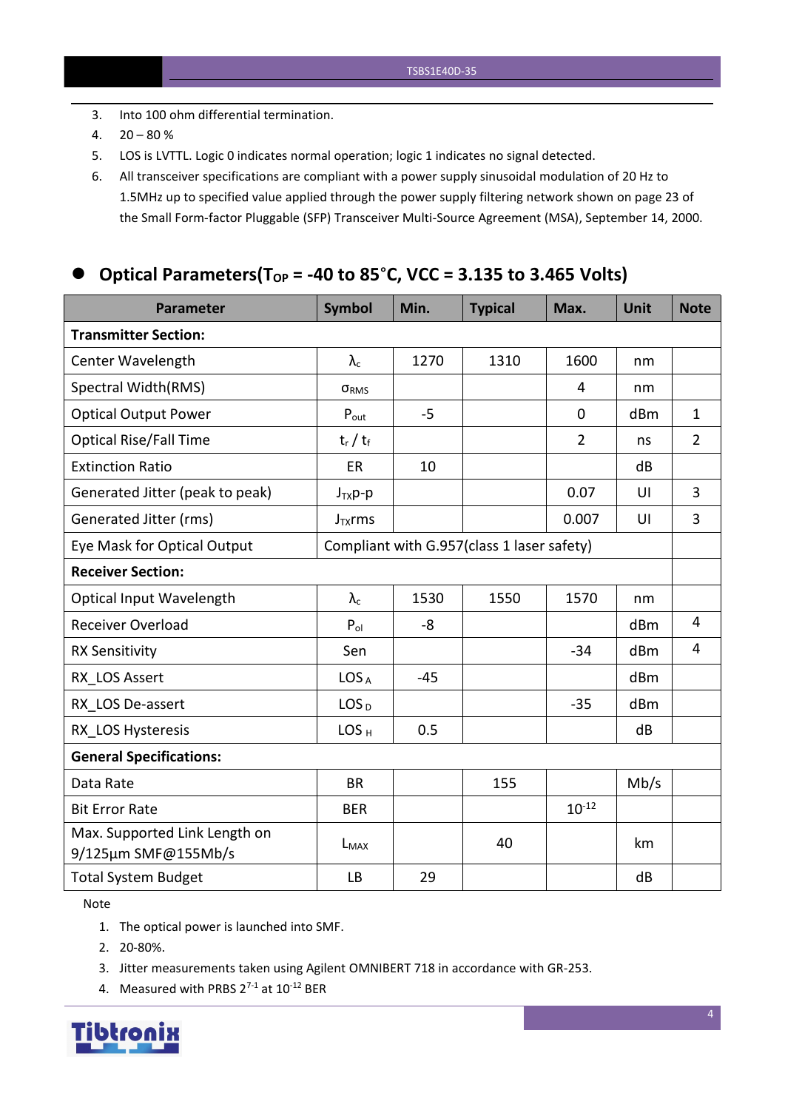- 3. Into 100 ohm differential termination.
- 4.  $20 80 \%$
- 5. LOS is LVTTL. Logic 0 indicates normal operation; logic 1 indicates no signal detected.
- 6. All transceiver specifications are compliant with a power supply sinusoidal modulation of 20 Hz to 1.5MHz up to specified value applied through the powersupply filtering network shown on page 23 of the Small Form-factor Pluggable (SFP) Transceiver Multi-Source Agreement (MSA), September 14, 2000.

## **Optical Parameters(T** $_{OP}$  = -40 to 85°C, VCC = 3.135 to 3.465 Volts)

| <b>Parameter</b>                                     | <b>Symbol</b>     | Min.  | <b>Typical</b>                             | Max.           | <b>Unit</b> | <b>Note</b>    |
|------------------------------------------------------|-------------------|-------|--------------------------------------------|----------------|-------------|----------------|
| <b>Transmitter Section:</b>                          |                   |       |                                            |                |             |                |
| Center Wavelength                                    | $\lambda_{\rm c}$ | 1270  | 1310                                       | 1600           | nm          |                |
| Spectral Width(RMS)                                  | ORMS              |       |                                            | 4              | nm          |                |
| <b>Optical Output Power</b>                          | $P_{\text{out}}$  | $-5$  |                                            | 0              | dBm         | $\mathbf{1}$   |
| <b>Optical Rise/Fall Time</b>                        | $t_r / t_f$       |       |                                            | $\overline{2}$ | ns          | $\overline{2}$ |
| <b>Extinction Ratio</b>                              | ER                | 10    |                                            |                | dB          |                |
| Generated Jitter (peak to peak)                      | $J_{TX}p-p$       |       |                                            | 0.07           | UI          | $\overline{3}$ |
| Generated Jitter (rms)                               | $J_{TX}$ rms      |       |                                            | 0.007          | UI          | $\overline{3}$ |
| Eye Mask for Optical Output                          |                   |       | Compliant with G.957(class 1 laser safety) |                |             |                |
| <b>Receiver Section:</b>                             |                   |       |                                            |                |             |                |
| <b>Optical Input Wavelength</b>                      | $\lambda_c$       | 1530  | 1550                                       | 1570           | nm          |                |
| <b>Receiver Overload</b>                             | $P_{ol}$          | -8    |                                            |                | dBm         | $\overline{4}$ |
| <b>RX Sensitivity</b>                                | Sen               |       |                                            | $-34$          | dBm         | $\overline{4}$ |
| RX LOS Assert                                        | LOS <sub>A</sub>  | $-45$ |                                            |                | dBm         |                |
| RX_LOS De-assert                                     | LOS <sub>D</sub>  |       |                                            | $-35$          | dBm         |                |
| RX LOS Hysteresis                                    | LOS <sub>H</sub>  | 0.5   |                                            |                | dB          |                |
| <b>General Specifications:</b>                       |                   |       |                                            |                |             |                |
| Data Rate                                            | <b>BR</b>         |       | 155                                        |                | Mb/s        |                |
| <b>Bit Error Rate</b>                                | <b>BER</b>        |       |                                            | $10^{-12}$     |             |                |
| Max. Supported Link Length on<br>9/125µm SMF@155Mb/s | $L_{MAX}$         |       | 40                                         |                | km          |                |
| <b>Total System Budget</b>                           | <b>LB</b>         | 29    |                                            |                | dB          |                |

Note

- 1. The optical power is launched into SMF.
- 2. 20-80%.
- 3. Jitter measurements taken using Agilent OMNIBERT 718 in accordance with GR-253.
- 4. Measured with PRBS  $2^{7-1}$  at  $10^{-12}$  BER

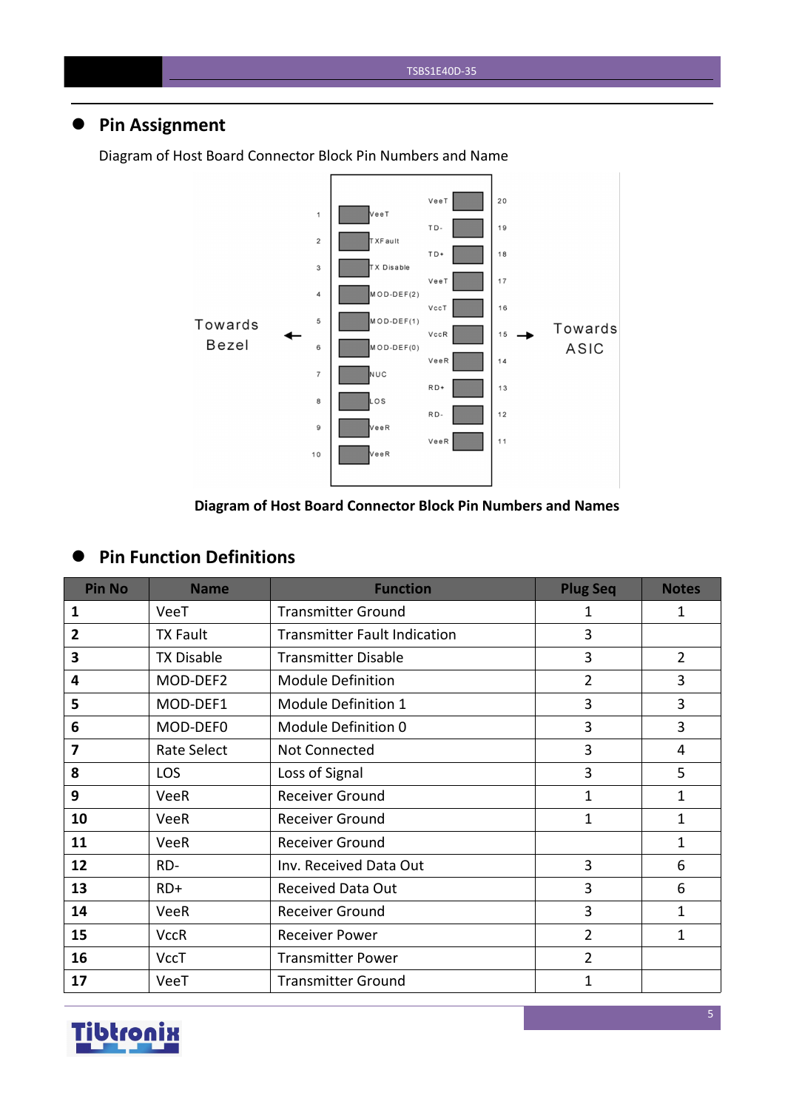# **Pin Assignment**



Diagram of Host Board Connector Block Pin Numbers and Name

#### **Diagram of Host Board Connector Block Pin Numbers and Names**

### **Pin Function Definitions**

| <b>Pin No</b>  | <b>Name</b>       | <b>Function</b>                     | <b>Plug Seq</b> | <b>Notes</b>   |
|----------------|-------------------|-------------------------------------|-----------------|----------------|
| 1              | VeeT              | <b>Transmitter Ground</b>           | 1               | $\mathbf{1}$   |
| $\overline{2}$ | <b>TX Fault</b>   | <b>Transmitter Fault Indication</b> | $\overline{3}$  |                |
| 3              | <b>TX Disable</b> | <b>Transmitter Disable</b>          | $\overline{3}$  | $\overline{2}$ |
| 4              | MOD-DEF2          | <b>Module Definition</b>            | $\overline{2}$  | 3              |
| 5              | MOD-DEF1          | Module Definition 1                 | 3               | 3              |
| 6              | MOD-DEF0          | Module Definition 0                 | 3               | 3              |
| 7              | Rate Select       | Not Connected                       | 3               | $\overline{4}$ |
| 8              | <b>LOS</b>        | Loss of Signal                      | 3               | 5              |
| 9              | <b>VeeR</b>       | <b>Receiver Ground</b>              | 1               | 1              |
| 10             | <b>VeeR</b>       | Receiver Ground                     | 1               | 1              |
| 11             | <b>VeeR</b>       | <b>Receiver Ground</b>              |                 | $\mathbf{1}$   |
| 12             | RD-               | Inv. Received Data Out              | 3               | 6              |
| 13             | $RD+$             | <b>Received Data Out</b>            | 3               | 6              |
| 14             | VeeR              | <b>Receiver Ground</b>              | 3               | 1              |
| 15             | <b>VccR</b>       | <b>Receiver Power</b>               | $\overline{2}$  | $\mathbf{1}$   |
| 16             | <b>VccT</b>       | <b>Transmitter Power</b>            | $\overline{2}$  |                |
| 17             | VeeT              | <b>Transmitter Ground</b>           | 1               |                |

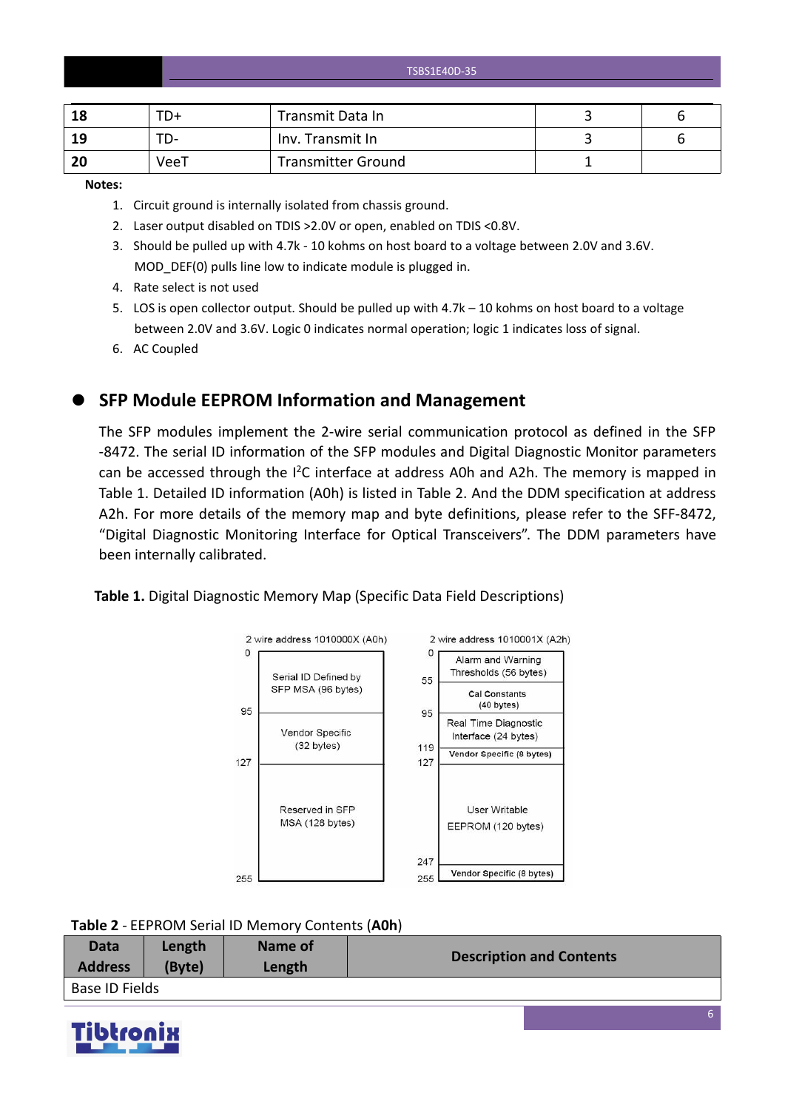TSBS1E40D-35

| 18             | TD+  | Transmit Data In          |  |
|----------------|------|---------------------------|--|
| 19             | ື່   | Inv. Transmit In          |  |
| <b>20</b><br>w | VeeT | <b>Transmitter Ground</b> |  |

**Notes:**

- 1. Circuit ground is internally isolated from chassis ground.
- 2. Laser output disabled on TDIS >2.0V or open, enabled on TDIS <0.8V.
- 3. Should be pulled up with 4.7k 10 kohms on host board to a voltage between 2.0V and 3.6V. MOD\_DEF(0) pulls line low to indicate module is plugged in.
- 4. Rate select is not used
- 5. LOS is open collector output. Should be pulled up with 4.7k 10 kohms on host board to a voltage between 2.0V and 3.6V. Logic 0 indicates normal operation; logic 1 indicates loss of signal.
- 6. AC Coupled

**SFP Module EEPROM Information and Management**

The SFP modules implement the 2-wire serial communication protocol as defined in the SFP -8472. The serial ID information of the SFP modules and Digital Diagnostic Monitor parameters can be accessed through the  $I^2C$  interface at address A0h and A2h. The memory is mapped in Table 1. Detailed ID information (A0h) is listed in Table 2. And the DDM specification at address A2h. For more details of the memory map and byte definitions, please refer to the SFF-8472, "Digital Diagnostic Monitoring Interface for Optical Transceivers". The DDM parameters have been internally calibrated.

#### **Table 1.** Digital Diagnostic Memory Map (Specific Data Field Descriptions)



**Table 2** - EEPROM Serial ID Memory Contents (**A0h**)

| Data           | Length | Name of | <b>Description and Contents</b> |
|----------------|--------|---------|---------------------------------|
| <b>Address</b> | (Byte) | Length  |                                 |
| Base ID Fields |        |         |                                 |

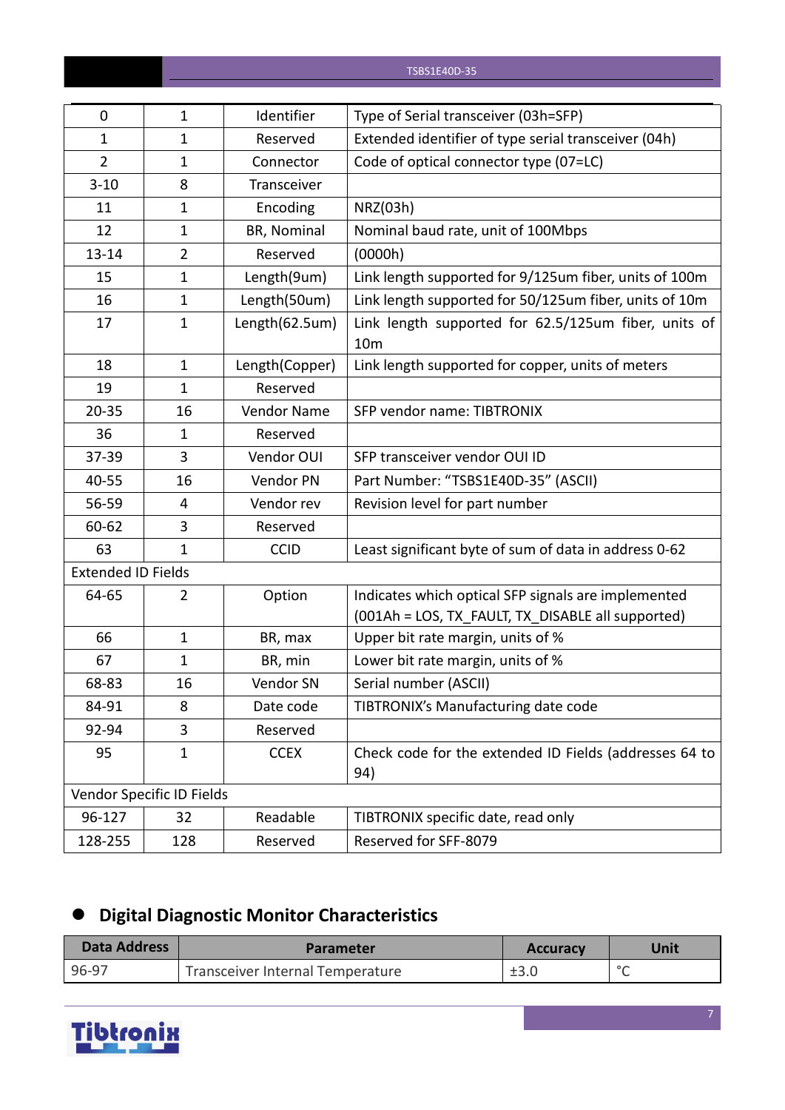| 0                         | $\mathbf{1}$              | Identifier     | Type of Serial transceiver (03h=SFP)                                                                     |
|---------------------------|---------------------------|----------------|----------------------------------------------------------------------------------------------------------|
| $\mathbf{1}$              | $\mathbf{1}$              | Reserved       | Extended identifier of type serial transceiver (04h)                                                     |
| $\overline{2}$            | $\mathbf{1}$              | Connector      | Code of optical connector type (07=LC)                                                                   |
| $3 - 10$                  | 8                         | Transceiver    |                                                                                                          |
| 11                        | $\mathbf{1}$              | Encoding       | NRZ(03h)                                                                                                 |
| 12                        | $\mathbf{1}$              | BR, Nominal    | Nominal baud rate, unit of 100Mbps                                                                       |
| 13-14                     | $\overline{2}$            | Reserved       | (0000h)                                                                                                  |
| 15                        | $\mathbf{1}$              | Length(9um)    | Link length supported for 9/125um fiber, units of 100m                                                   |
| 16                        | $\mathbf{1}$              | Length(50um)   | Link length supported for 50/125um fiber, units of 10m                                                   |
| 17                        | $\mathbf{1}$              | Length(62.5um) | Link length supported for 62.5/125um fiber, units of<br>10 <sub>m</sub>                                  |
| 18                        | $\mathbf{1}$              | Length(Copper) | Link length supported for copper, units of meters                                                        |
| 19                        | $\mathbf{1}$              | Reserved       |                                                                                                          |
| $20 - 35$                 | 16                        | Vendor Name    | SFP vendor name: TIBTRONIX                                                                               |
| 36                        | $\mathbf{1}$              | Reserved       |                                                                                                          |
| 37-39                     | 3                         | Vendor OUI     | SFP transceiver vendor OUI ID                                                                            |
| 40-55                     | 16                        | Vendor PN      | Part Number: "TSBS1E40D-35" (ASCII)                                                                      |
| 56-59                     | 4                         | Vendor rev     | Revision level for part number                                                                           |
| 60-62                     | 3                         | Reserved       |                                                                                                          |
| 63                        | $\mathbf{1}$              | <b>CCID</b>    | Least significant byte of sum of data in address 0-62                                                    |
| <b>Extended ID Fields</b> |                           |                |                                                                                                          |
| 64-65                     | $\overline{2}$            | Option         | Indicates which optical SFP signals are implemented<br>(001Ah = LOS, TX_FAULT, TX_DISABLE all supported) |
| 66                        | $\mathbf{1}$              | BR, max        | Upper bit rate margin, units of %                                                                        |
| 67                        | $\mathbf{1}$              | BR, min        | Lower bit rate margin, units of %                                                                        |
| 68-83                     | 16                        | Vendor SN      | Serial number (ASCII)                                                                                    |
| 84-91                     | 8                         | Date code      | TIBTRONIX's Manufacturing date code                                                                      |
| 92-94                     | 3                         | Reserved       |                                                                                                          |
| 95                        | $\mathbf{1}$              | <b>CCEX</b>    | Check code for the extended ID Fields (addresses 64 to<br>94)                                            |
|                           | Vendor Specific ID Fields |                |                                                                                                          |
| 96-127                    | 32                        | Readable       | TIBTRONIX specific date, read only                                                                       |
| 128-255                   | 128                       | Reserved       | Reserved for SFF-8079                                                                                    |

# **Digital Diagnostic Monitor Characteristics**

| <b>Data Address</b> | <b>Parameter</b>                 | <b>Accuracy</b> | Unit    |
|---------------------|----------------------------------|-----------------|---------|
| 96-97               | Transceiver Internal Temperature | ±3.0            | $\circ$ |

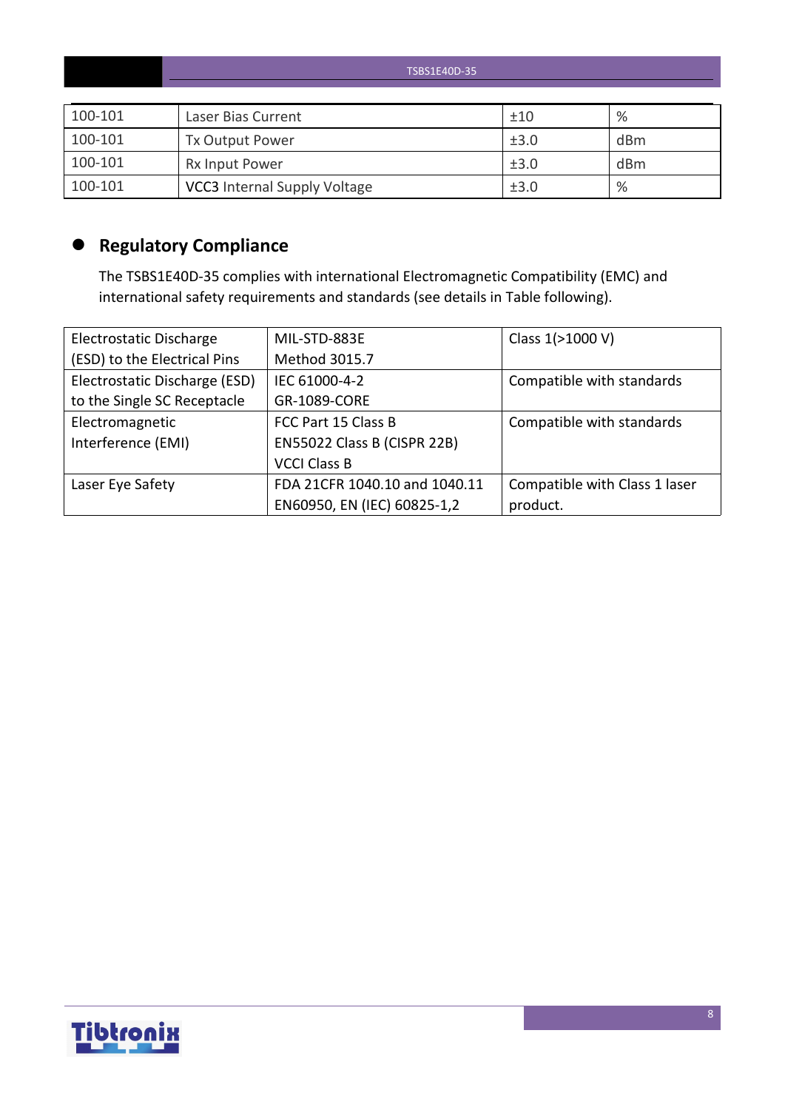|         | TSBS1E40D-35                        |      |                 |  |  |  |  |
|---------|-------------------------------------|------|-----------------|--|--|--|--|
|         |                                     |      |                 |  |  |  |  |
| 100-101 | Laser Bias Current                  | ±10  | %               |  |  |  |  |
| 100-101 | Tx Output Power                     | ±3.0 | dBm             |  |  |  |  |
| 100-101 | <b>Rx Input Power</b>               | ±3.0 | d <sub>Bm</sub> |  |  |  |  |
| 100-101 | <b>VCC3</b> Internal Supply Voltage | ±3.0 | %               |  |  |  |  |

# **Regulatory Compliance**

The TSBS1E40D-35 complies with international Electromagnetic Compatibility (EMC) and international safety requirements and standards (see details in Table following).

| Electrostatic Discharge       | MIL-STD-883E                  | Class 1(>1000 V)              |
|-------------------------------|-------------------------------|-------------------------------|
| (ESD) to the Electrical Pins  | Method 3015.7                 |                               |
| Electrostatic Discharge (ESD) | IEC 61000-4-2                 | Compatible with standards     |
| to the Single SC Receptacle   | GR-1089-CORE                  |                               |
| Electromagnetic               | FCC Part 15 Class B           | Compatible with standards     |
| Interference (EMI)            | EN55022 Class B (CISPR 22B)   |                               |
|                               | <b>VCCI Class B</b>           |                               |
| Laser Eye Safety              | FDA 21CFR 1040.10 and 1040.11 | Compatible with Class 1 laser |
|                               | EN60950, EN (IEC) 60825-1,2   | product.                      |

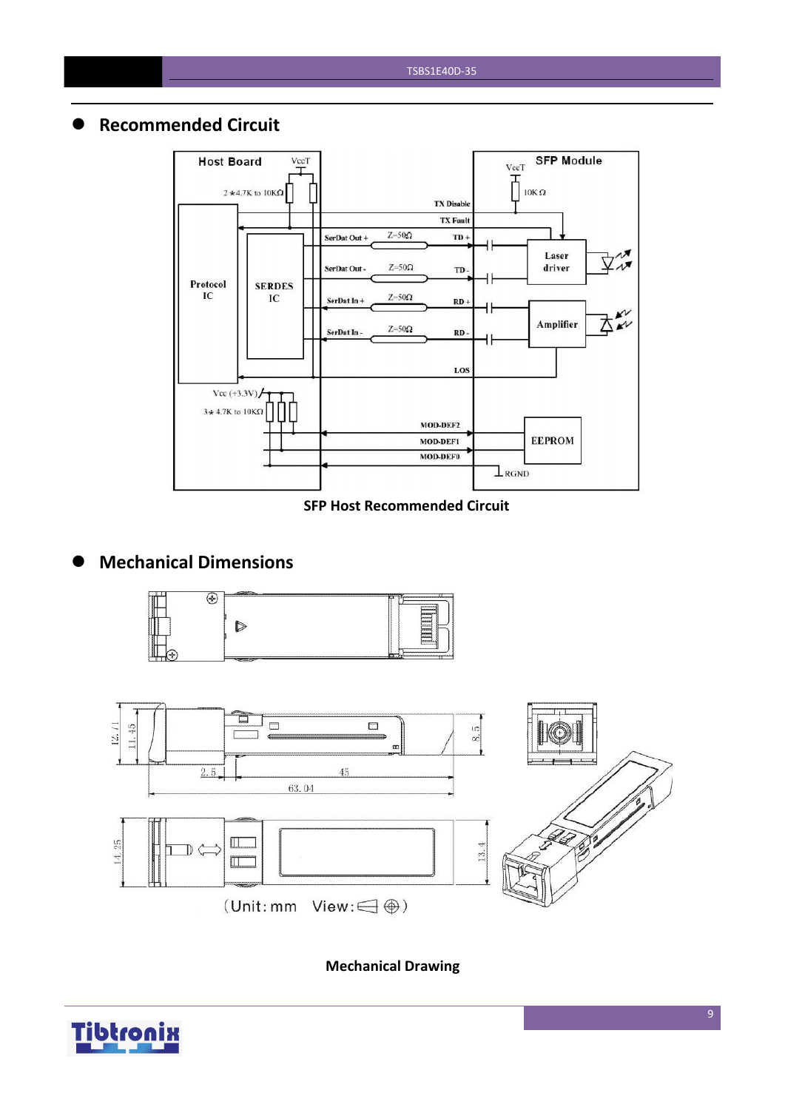### **Recommended Circuit**



**SFP Host Recommended Circuit**

## **Mechanical Dimensions**





**Mechanical Drawing**